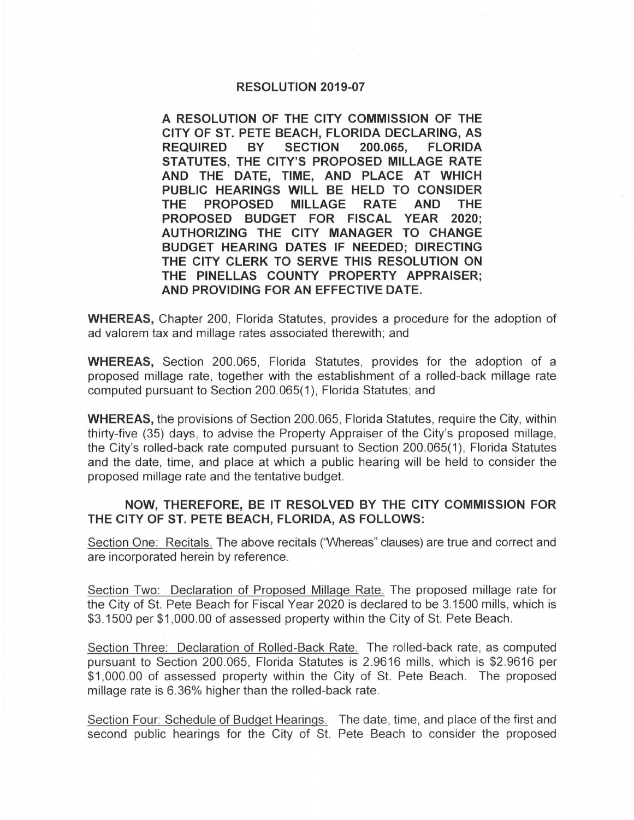## **RESOLUTION 2019-07**

**A RESOLUTION OF THE CITY COMMISSION OF THE CITY OF ST. PETE BEACH, FLORIDA DECLARING, AS REQUIRED BY SECTION 200.065, FLORIDA STATUTES, THE CITY'S PROPOSED MILLAGE RATE AND THE DATE, TIME, AND PLACE AT WHICH PUBLIC HEARINGS WILL BE HELD TO CONSIDER THE PROPOSED MILLAGE RATE AND THE PROPOSED BUDGET FOR FISCAL YEAR 2020; AUTHORIZING THE CITY MANAGER TO CHANGE BUDGET HEARING DATES IF NEEDED; DIRECTING THE CITY CLERK TO SERVE THIS RESOLUTION ON THE PINELLAS COUNTY PROPERTY APPRAISER; AND PROVIDING FOR AN EFFECTIVE DATE.** 

**WHEREAS,** Chapter 200, Florida Statutes, provides a procedure for the adoption of ad valorem tax and millage rates associated therewith; and

**WHEREAS,** Section 200.065, Florida Statutes, provides for the adoption of a proposed millage rate, together with the establishment of a rolled-back millage rate computed pursuant to Section 200.065(1 ), Florida Statutes; and

**WHEREAS,** the provisions of Section 200.065, Florida Statutes, require the City, within thirty-five (35) days, to advise the Property Appraiser of the City's proposed millage, the City's rolled-back rate computed pursuant to Section 200.065(1 ), Florida Statutes and the date, time, and place at which a public hearing will be held to consider the proposed millage rate and the tentative budget.

## **NOW, THEREFORE, BE IT RESOLVED BY THE CITY COMMISSION FOR THE CITY OF ST. PETE BEACH, FLORIDA, AS FOLLOWS:**

Section One: Recitals. The above recitals ('Whereas" clauses) are true and correct and are incorporated herein by reference.

Section Two: Declaration of Proposed Millage Rate. The proposed millage rate for the City of St. Pete Beach for Fiscal Year 2020 is declared to be 3.1500 mills, which is \$3.1500 per \$1 ,000.00 of assessed property within the City of St. Pete Beach.

Section Three: Declaration of Rolled-Back Rate. The rolled-back rate, as computed pursuant to Section 200.065, Florida Statutes is 2.9616 mills, which is \$2.9616 per \$1,000.00 of assessed property within the City of St. Pete Beach. The proposed millage rate is 6.36% higher than the rolled-back rate.

Section Four: Schedule of Budget Hearings. The date, time, and place of the first and second public hearings for the City of St. Pete Beach to consider the proposed